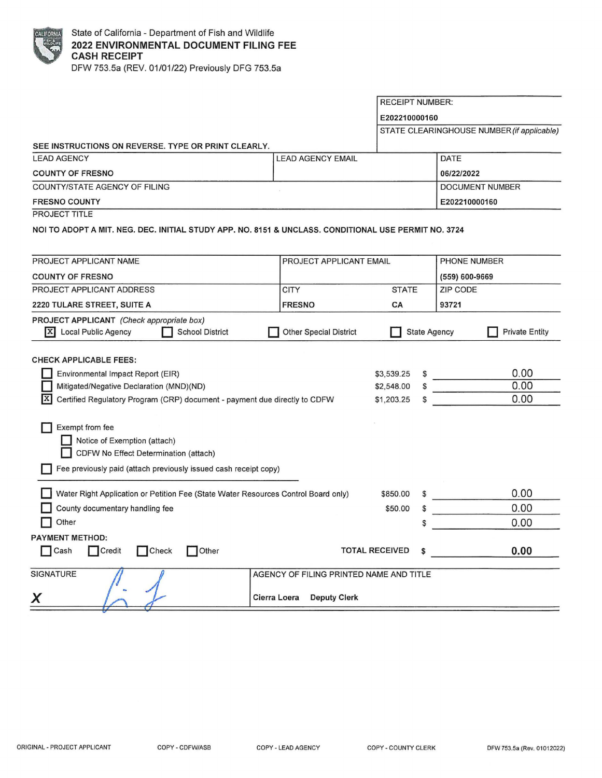

**SEE INSTRUCTIONS ON REVERSE. TYPE OR PRINT CLEARLY.**  LEAD AGENCY **LEAD AGENCY** COUNTY OF FRESNO COUNTY/STATE AGENCY OF FILING **FRESNO COUNTY**  PROJECT TITLE RECEIPT NUMBER: **E202210000160**  STATE CLEARINGHOUSE NUMBER (if applicable) DATE **06/22/2022**  DOCUMENT NUMBER **E202210000160**  NOi TO ADOPT A MIT. NEG. DEC. INITIAL STUDY APP. NO. 8151 & UNCLASS. CONDITIONAL USE PERMIT NO. 3724 PROJECT APPLICANT NAME COUNTY OF FRESNO PROJECT APPLICANT ADDRESS 2220 TULARE STREET, SUITE A **PROJECT APPLICANT** (Check appropriate box) PROJECT APPLICANT EMAIL **CITY FRESNO STATE CA**  PHONE NUMBER (559) 600-9669 ZIP CODE **93721**  I!] Local Public Agency **D** School District **D** Other Special District **D** State Agency **D** Private Entity CHECK APPLICABLE FEES: **D** Environmental Impact Report (EIR) **Mitigated/Negative Declaration (MND)(ND)**  $|\mathbf{X}|$  Certified Regulatory Program (CRP) document - payment due directly to CDFW **D** Exempt from fee **D** Notice of Exemption (attach) **D** CDFW No Effect Determination (attach) **D** Fee previously paid (attach previously issued cash receipt copy) **D** Water Right Application or Petition Fee (State Water Resources Control Board only) **D** County documentary handling fee **D** Other **PAYMENT METHOD:**  \$3,539.25 \$ \$2,548.00 \$ \$1,203.25 \$850.00 \$50.00 \$ **• A CONFIDERED FOR SALE FOR SECTIVED**<br>● Cash ● Credit ● Check ● Other **TOTAL RECEIVED** → TOTAL RECEIVED SIGNATURE AND TITLE AGENCY OF FILING PRINTED NAME AND TITLE **Cierra Loera** Deputy Clerk 0.00 0.00 0.00 0.00 0.00 0.00 **0.00**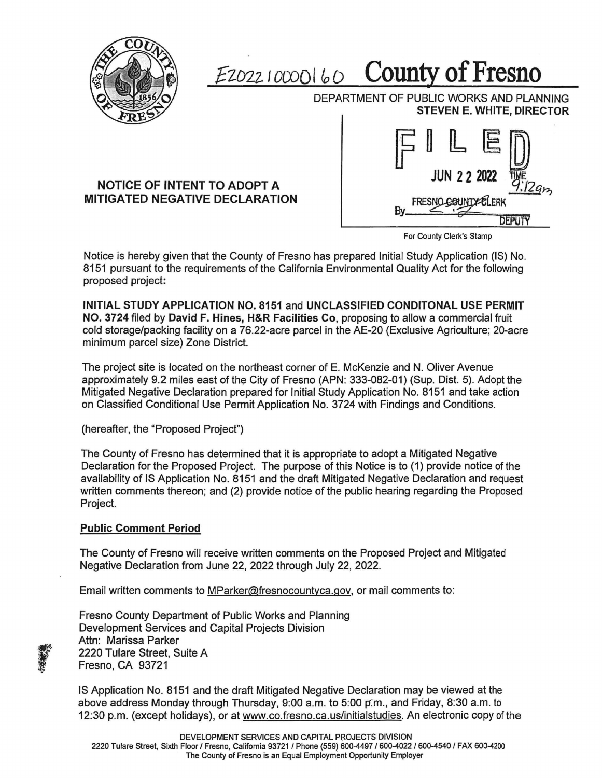

## $E_{2022}$   $10000160$  **County of Fresno**

DEPARTMENT OF PUBLIC WORKS AND PLANNING **STEVEN E. WHITE, DIRECTOR** 

## **NOTICE OF INTENT TO ADOPT A MITIGATED NEGATIVE DECLARATION**



For County Clerk's Stamp

Notice is hereby given that the County of Fresno has prepared Initial Study Application (IS) No. 8151 pursuant to the requirements of the California Environmental Quality Act for the following proposed project:

**INITIAL STUDY APPLICATION NO. 8151** and **UNCLASSIFIED CONDITONAL USE PERMIT NO. 3724** filed by **David F. Hines, H&R Facilities Co,** proposing to allow a commercial fruit cold storage/packing facility on a 76.22-acre parcel in the AE-20 (Exclusive Agriculture; 20-acre minimum parcel size) Zone District.

The project site is located on the northeast corner of E. McKenzie and N. Oliver Avenue approximately 9.2 miles east of the City of Fresno (APN: 333-082-01) (Sup. Dist. 5). Adopt the Mitigated Negative Declaration prepared for Initial Study Application No. 8151 and take action on Classified Conditional Use Permit Application No. 3724 with Findings and Conditions.

(hereafter, the "Proposed Project")

The County of Fresno has determined that it is appropriate to adopt a Mitigated Negative Declaration for the Proposed Project. The purpose of this Notice is to (1) provide notice of the availability of IS Application No. 8151 and the draft Mitigated Negative Declaration and request written comments thereon; and (2) provide notice of the public hearing regarding the Proposed Project.

## **Public Comment Period**

 $\frac{1}{2}$ 

'

The County of Fresno will receive written comments on the Proposed Project and Mitigated Negative Declaration from June 22, 2022 through July 22, 2022.

Email written comments to MParker@fresnocountyca.gov, or mail comments to:

Fresno County Department of Public Works and Planning Development Services and Capital Projects Division Attn: Marissa Parker 2220 Tulare Street, Suite A Fresno, CA 93721

IS Application No. 8151 and the draft Mitigated Negative Declaration may be viewed at the above address Monday through Thursday, 9:00 a.m. to 5:00 p:m., and Friday, 8:30 a.m. to 12:30 p.m. (except holidays), or at www.co.fresno.ca.us/initialstudies. An electronic copy of the